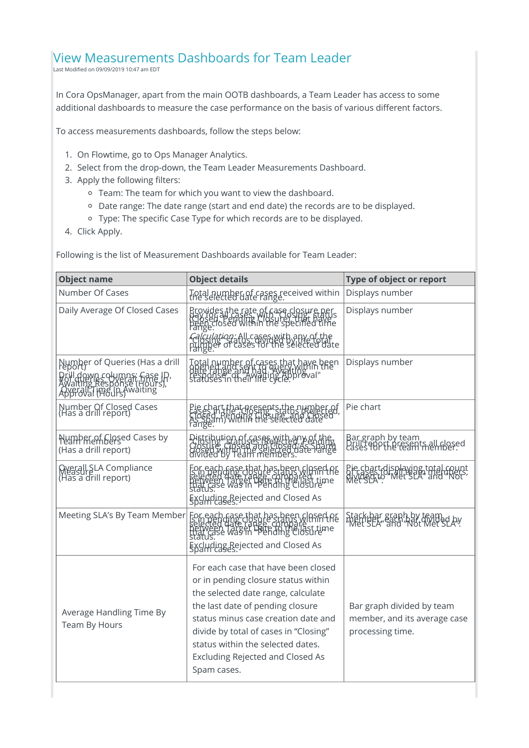## View Measurements Dashboards for Team Leader

Last Modified on 09/09/2019 10:47 am EDT

In Cora OpsManager, apart from the main OOTB dashboards, a Team Leader has access to some additional dashboards to measure the case performance on the basis of various different factors.

To access measurements dashboards, follow the steps below:

- 1. On Flowtime, go to Ops Manager Analytics.
- 2. Select from the drop-down, the Team Leader Measurements Dashboard.
- 3. Apply the following filters:
	- Team: The team for which you want to view the dashboard.
	- Date range: The date range (start and end date) the records are to be displayed.
	- Type: The specific Case Type for which records are to be displayed.
- 4. Click Apply.

Following is the list of Measurement Dashboards available for Team Leader:

| <b>Object name</b>                                                      | <b>Object details</b>                                                                                                                                                                                                                                                                                                               | Type of object or report                                                            |
|-------------------------------------------------------------------------|-------------------------------------------------------------------------------------------------------------------------------------------------------------------------------------------------------------------------------------------------------------------------------------------------------------------------------------|-------------------------------------------------------------------------------------|
| Number Of Cases                                                         | Total number of cases received within                                                                                                                                                                                                                                                                                               | Displays number                                                                     |
| Daily Average Of Closed Cases                                           | Browides the rate of case closure per<br>(Hay for all of a set of closure pers<br>been closed within the specified time<br>lange.<br><i>culation:</i> All cases with any of the<br>uber of cases for the selected date                                                                                                              | Displays number                                                                     |
| Number of Queries (Has a drill<br>Överäll Time In Awaiting              | Total number of cases that have been<br>defe range and had gullar binn then<br>statuses in their life (gcle, proval"                                                                                                                                                                                                                | Displays number                                                                     |
| Number Of Closed Cases<br>(Has a drill report)                          | Pie chart that presents the number of<br>FaSes in the UDSHes the sureliected<br>Closed in Within the selected date<br>range.                                                                                                                                                                                                        | Pie chart                                                                           |
| Number of Closed Cases by<br>(Has a drill report)                       | Distribution of cases with any o<br>Closule, Closed any Closed, e<br>divided by Teahf members.                                                                                                                                                                                                                                      | Bar graph by team<br>Drill report presents all closed<br>cases for the team member. |
| Overall SLA Compliance<br>Measur SLA Compliance<br>(Has a drill report) | For each case that has been closed of<br>Sell Hed date clappe and paid in the<br>Deliveen date called compails t time<br>status:<br>Excluding Rejected and Closed As                                                                                                                                                                | thart displaying total<br>ISBN 0-"Met SLA" diffini<br>SLA"                          |
| Meeting SLA's By Team Member                                            | For each Gase that has been closed of<br>Selected date clapse compallast time<br>Detween date of Late compallast time<br>Status:<br>Excluding Rejected and Closed As<br>Spam cases.                                                                                                                                                 | Stack bar graph by team<br>"Met SEA" and "Not Wet SLA"                              |
| Average Handling Time By<br>Team By Hours                               | For each case that have been closed<br>or in pending closure status within<br>the selected date range, calculate<br>the last date of pending closure<br>status minus case creation date and<br>divide by total of cases in "Closing"<br>status within the selected dates.<br><b>Excluding Rejected and Closed As</b><br>Spam cases. | Bar graph divided by team<br>member, and its average case<br>processing time.       |